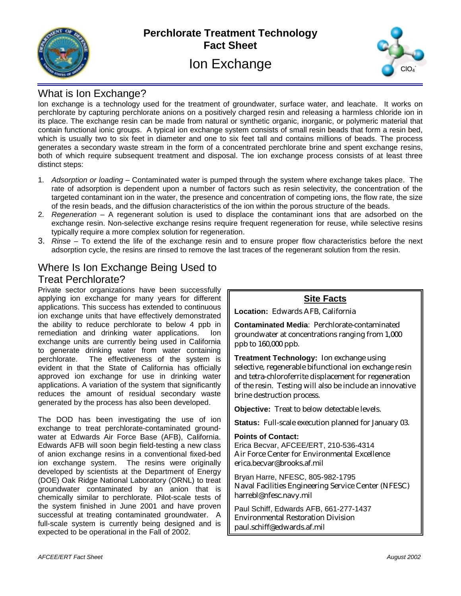

## **Perchlorate Treatment Technology Fact Sheet** Ion Exchange



## What is Ion Exchange?

Ion exchange is a technology used for the treatment of groundwater, surface water, and leachate. It works on perchlorate by capturing perchlorate anions on a positively charged resin and releasing a harmless chloride ion in its place. The exchange resin can be made from natural or synthetic organic, inorganic, or polymeric material that contain functional ionic groups. A typical ion exchange system consists of small resin beads that form a resin bed, which is usually two to six feet in diameter and one to six feet tall and contains millions of beads. The process generates a secondary waste stream in the form of a concentrated perchlorate brine and spent exchange resins, both of which require subsequent treatment and disposal. The ion exchange process consists of at least three distinct steps:

- 1. *Adsorption or loading* Contaminated water is pumped through the system where exchange takes place. The rate of adsorption is dependent upon a number of factors such as resin selectivity, the concentration of the targeted contaminant ion in the water, the presence and concentration of competing ions, the flow rate, the size of the resin beads, and the diffusion characteristics of the ion within the porous structure of the beads.
- 2. *Regeneration*  A regenerant solution is used to displace the contaminant ions that are adsorbed on the exchange resin. Non-selective exchange resins require frequent regeneration for reuse, while selective resins typically require a more complex solution for regeneration.
- 3. *Rinse*  To extend the life of the exchange resin and to ensure proper flow characteristics before the next adsorption cycle, the resins are rinsed to remove the last traces of the regenerant solution from the resin.

# Where Is Ion Exchange Being Used to

## Treat Perchlorate?

Private sector organizations have been successfully applying ion exchange for many years for different applications. This success has extended to continuous ion exchange units that have effectively demonstrated the ability to reduce perchlorate to below 4 ppb in remediation and drinking water applications. Ion exchange units are currently being used in California to generate drinking water from water containing perchlorate. The effectiveness of the system is evident in that the State of California has officially approved ion exchange for use in drinking water applications. A variation of the system that significantly reduces the amount of residual secondary waste generated by the process has also been developed.

The DOD has been investigating the use of ion exchange to treat perchlorate-contaminated groundwater at Edwards Air Force Base (AFB), California. Edwards AFB will soon begin field-testing a new class of anion exchange resins in a conventional fixed-bed ion exchange system. The resins were originally developed by scientists at the Department of Energy (DOE) Oak Ridge National Laboratory (ORNL) to treat groundwater contaminated by an anion that is chemically similar to perchlorate. Pilot-scale tests of the system finished in June 2001 and have proven successful at treating contaminated groundwater. A full-scale system is currently being designed and is expected to be operational in the Fall of 2002.

### **Site Facts**

**Location:** Edwards AFB, California

**Contaminated Media**: Perchlorate-contaminated groundwater at concentrations ranging from 1,000 ppb to 160,000 ppb.

**Treatment Technology:** Ion exchange using selective, regenerable bifunctional ion exchange resin and tetra-chloroferrite displacement for regeneration of the resin. Testing will also be include an innovative brine destruction process.

**Objective:** Treat to below detectable levels.

**Status:** Full-scale execution planned for January 03.

#### **Points of Contact:**

Erica Becvar, AFCEE/ERT, 210-536-4314 Air Force Center for Environmental Excellence erica.becvar@brooks.af.mil

Bryan Harre, NFESC, 805-982-1795 Naval Facilities Engineering Service Center (NFESC) harrebl@nfesc.navy.mil

Paul Schiff, Edwards AFB, 661-277-1437 Environmental Restoration Division paul.schiff@edwards.af.mil